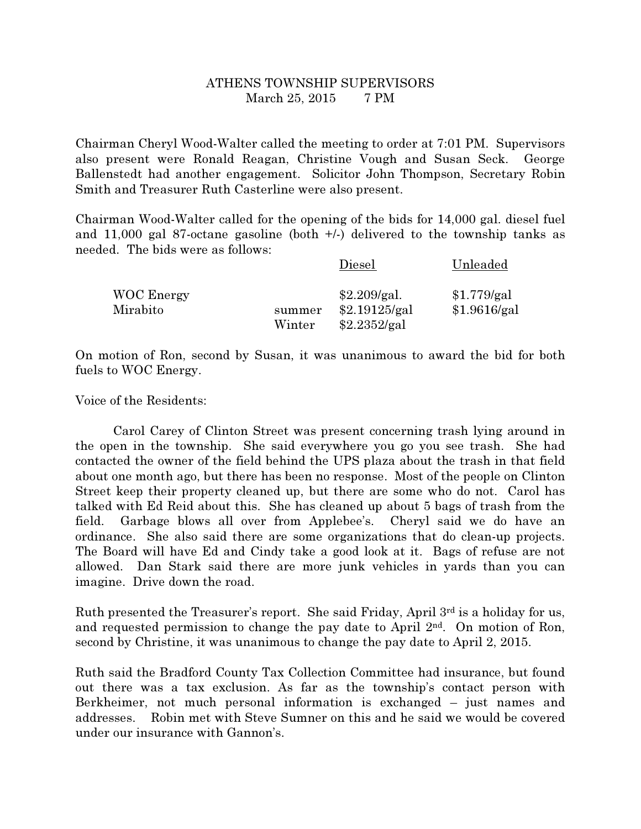## ATHENS TOWNSHIP SUPERVISORS March 25, 2015 7 PM

Chairman Cheryl Wood-Walter called the meeting to order at 7:01 PM. Supervisors also present were Ronald Reagan, Christine Vough and Susan Seck. George Ballenstedt had another engagement. Solicitor John Thompson, Secretary Robin Smith and Treasurer Ruth Casterline were also present.

Chairman Wood-Walter called for the opening of the bids for 14,000 gal. diesel fuel and 11,000 gal 87-octane gasoline (both +/-) delivered to the township tanks as needed. The bids were as follows:

|                               |                  | Diesel                                        | Unleaded                    |
|-------------------------------|------------------|-----------------------------------------------|-----------------------------|
| <b>WOC Energy</b><br>Mirabito | summer<br>Winter | \$2.209/gal.<br>\$2.19125/gal<br>\$2.2352/gal | \$1.779/gal<br>\$1.9616/gal |

On motion of Ron, second by Susan, it was unanimous to award the bid for both fuels to WOC Energy.

Voice of the Residents:

 Carol Carey of Clinton Street was present concerning trash lying around in the open in the township. She said everywhere you go you see trash. She had contacted the owner of the field behind the UPS plaza about the trash in that field about one month ago, but there has been no response. Most of the people on Clinton Street keep their property cleaned up, but there are some who do not. Carol has talked with Ed Reid about this. She has cleaned up about 5 bags of trash from the field. Garbage blows all over from Applebee's. Cheryl said we do have an ordinance. She also said there are some organizations that do clean-up projects. The Board will have Ed and Cindy take a good look at it. Bags of refuse are not allowed. Dan Stark said there are more junk vehicles in yards than you can imagine. Drive down the road.

Ruth presented the Treasurer's report. She said Friday, April 3rd is a holiday for us, and requested permission to change the pay date to April 2nd. On motion of Ron, second by Christine, it was unanimous to change the pay date to April 2, 2015.

Ruth said the Bradford County Tax Collection Committee had insurance, but found out there was a tax exclusion. As far as the township's contact person with Berkheimer, not much personal information is exchanged – just names and addresses. Robin met with Steve Sumner on this and he said we would be covered under our insurance with Gannon's.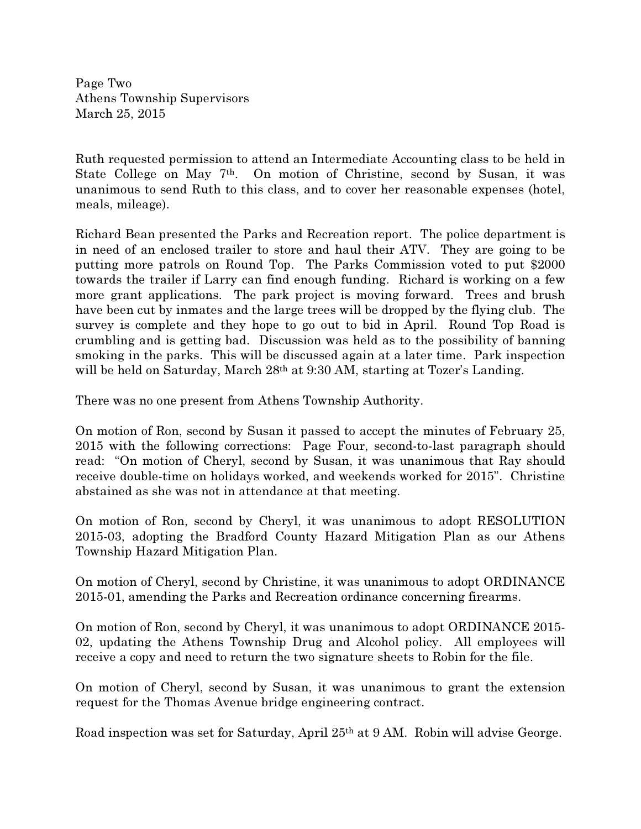Page Two Athens Township Supervisors March 25, 2015

Ruth requested permission to attend an Intermediate Accounting class to be held in State College on May 7th. On motion of Christine, second by Susan, it was unanimous to send Ruth to this class, and to cover her reasonable expenses (hotel, meals, mileage).

Richard Bean presented the Parks and Recreation report. The police department is in need of an enclosed trailer to store and haul their ATV. They are going to be putting more patrols on Round Top. The Parks Commission voted to put \$2000 towards the trailer if Larry can find enough funding. Richard is working on a few more grant applications. The park project is moving forward. Trees and brush have been cut by inmates and the large trees will be dropped by the flying club. The survey is complete and they hope to go out to bid in April. Round Top Road is crumbling and is getting bad. Discussion was held as to the possibility of banning smoking in the parks. This will be discussed again at a later time. Park inspection will be held on Saturday, March 28<sup>th</sup> at 9:30 AM, starting at Tozer's Landing.

There was no one present from Athens Township Authority.

On motion of Ron, second by Susan it passed to accept the minutes of February 25, 2015 with the following corrections: Page Four, second-to-last paragraph should read: "On motion of Cheryl, second by Susan, it was unanimous that Ray should receive double-time on holidays worked, and weekends worked for 2015". Christine abstained as she was not in attendance at that meeting.

On motion of Ron, second by Cheryl, it was unanimous to adopt RESOLUTION 2015-03, adopting the Bradford County Hazard Mitigation Plan as our Athens Township Hazard Mitigation Plan.

On motion of Cheryl, second by Christine, it was unanimous to adopt ORDINANCE 2015-01, amending the Parks and Recreation ordinance concerning firearms.

On motion of Ron, second by Cheryl, it was unanimous to adopt ORDINANCE 2015- 02, updating the Athens Township Drug and Alcohol policy. All employees will receive a copy and need to return the two signature sheets to Robin for the file.

On motion of Cheryl, second by Susan, it was unanimous to grant the extension request for the Thomas Avenue bridge engineering contract.

Road inspection was set for Saturday, April 25th at 9 AM. Robin will advise George.